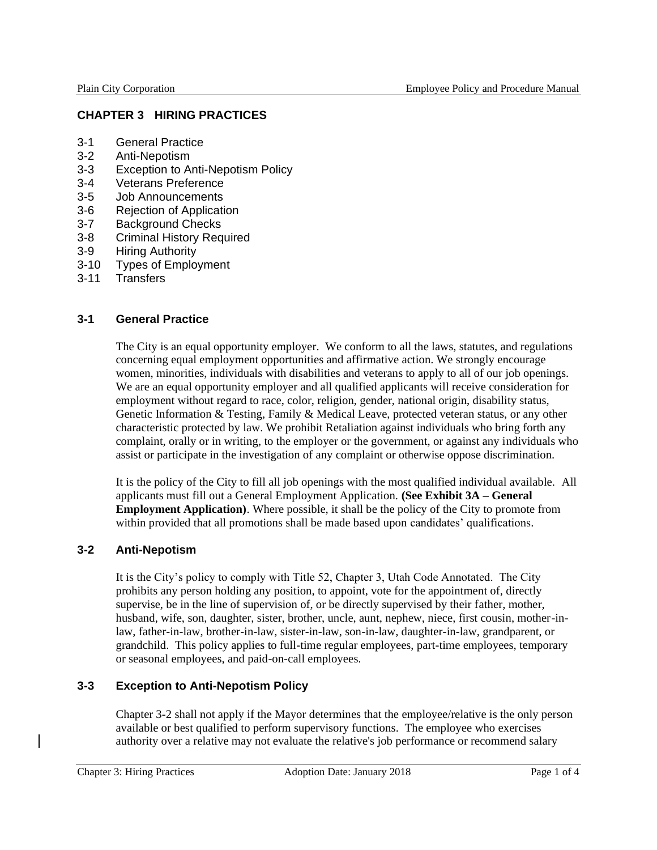# **CHAPTER 3 HIRING PRACTICES**

- 3-1 General Practice
- 3-2 Anti-Nepotism
- 3-3 Exception to Anti-Nepotism Policy
- 3-4 Veterans Preference
- 3-5 Job Announcements
- 3-6 Rejection of Application
- 3-7 Background Checks
- 3-8 Criminal History Required
- 3-9 Hiring Authority
- 3-10 Types of Employment
- 3-11 Transfers

### **3-1 General Practice**

The City is an equal opportunity employer. We conform to all the laws, statutes, and regulations concerning equal employment opportunities and affirmative action. We strongly encourage women, minorities, individuals with disabilities and veterans to apply to all of our job openings. We are an equal opportunity employer and all qualified applicants will receive consideration for employment without regard to race, color, religion, gender, national origin, disability status, Genetic Information & Testing, Family & Medical Leave, protected veteran status, or any other characteristic protected by law. We prohibit Retaliation against individuals who bring forth any complaint, orally or in writing, to the employer or the government, or against any individuals who assist or participate in the investigation of any complaint or otherwise oppose discrimination.

It is the policy of the City to fill all job openings with the most qualified individual available. All applicants must fill out a General Employment Application. **(See Exhibit 3A – General Employment Application)**. Where possible, it shall be the policy of the City to promote from within provided that all promotions shall be made based upon candidates' qualifications.

### **3-2 Anti-Nepotism**

It is the City's policy to comply with Title 52, Chapter 3, Utah Code Annotated. The City prohibits any person holding any position, to appoint, vote for the appointment of, directly supervise, be in the line of supervision of, or be directly supervised by their father, mother, husband, wife, son, daughter, sister, brother, uncle, aunt, nephew, niece, first cousin, mother-inlaw, father-in-law, brother-in-law, sister-in-law, son-in-law, daughter-in-law, grandparent, or grandchild. This policy applies to full-time regular employees, part-time employees, temporary or seasonal employees, and paid-on-call employees.

### **3-3 Exception to Anti-Nepotism Policy**

Chapter 3-2 shall not apply if the Mayor determines that the employee/relative is the only person available or best qualified to perform supervisory functions. The employee who exercises authority over a relative may not evaluate the relative's job performance or recommend salary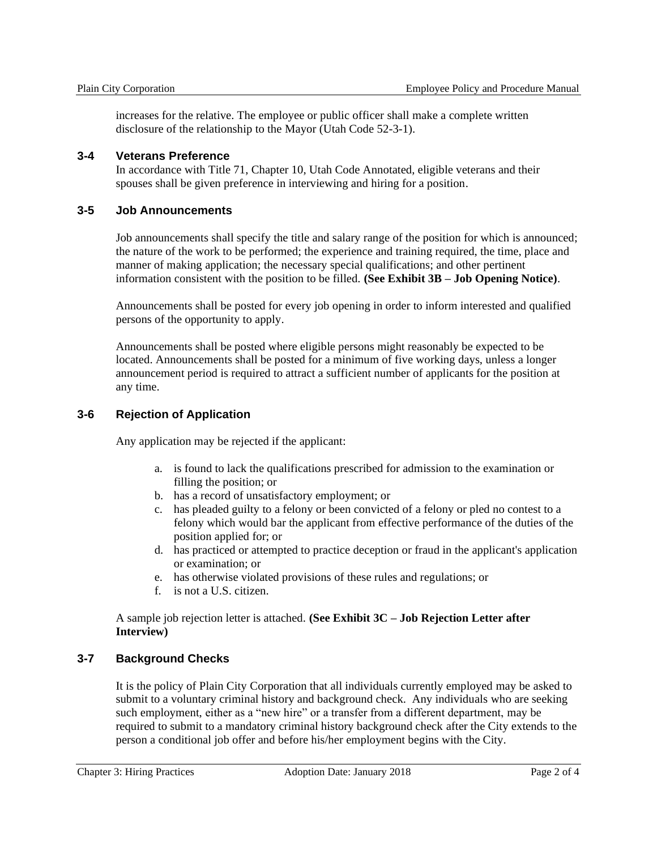increases for the relative. The employee or public officer shall make a complete written disclosure of the relationship to the Mayor (Utah Code 52-3-1).

#### **3-4 Veterans Preference**

In accordance with Title 71, Chapter 10, Utah Code Annotated, eligible veterans and their spouses shall be given preference in interviewing and hiring for a position.

#### **3-5 Job Announcements**

Job announcements shall specify the title and salary range of the position for which is announced; the nature of the work to be performed; the experience and training required, the time, place and manner of making application; the necessary special qualifications; and other pertinent information consistent with the position to be filled. **(See Exhibit 3B – Job Opening Notice)**.

Announcements shall be posted for every job opening in order to inform interested and qualified persons of the opportunity to apply.

Announcements shall be posted where eligible persons might reasonably be expected to be located. Announcements shall be posted for a minimum of five working days, unless a longer announcement period is required to attract a sufficient number of applicants for the position at any time.

### **3-6 Rejection of Application**

Any application may be rejected if the applicant:

- a. is found to lack the qualifications prescribed for admission to the examination or filling the position; or
- b. has a record of unsatisfactory employment; or
- c. has pleaded guilty to a felony or been convicted of a felony or pled no contest to a felony which would bar the applicant from effective performance of the duties of the position applied for; or
- d. has practiced or attempted to practice deception or fraud in the applicant's application or examination; or
- e. has otherwise violated provisions of these rules and regulations; or
- f. is not a U.S. citizen.

A sample job rejection letter is attached. **(See Exhibit 3C – Job Rejection Letter after Interview)**

### **3-7 Background Checks**

It is the policy of Plain City Corporation that all individuals currently employed may be asked to submit to a voluntary criminal history and background check. Any individuals who are seeking such employment, either as a "new hire" or a transfer from a different department, may be required to submit to a mandatory criminal history background check after the City extends to the person a conditional job offer and before his/her employment begins with the City.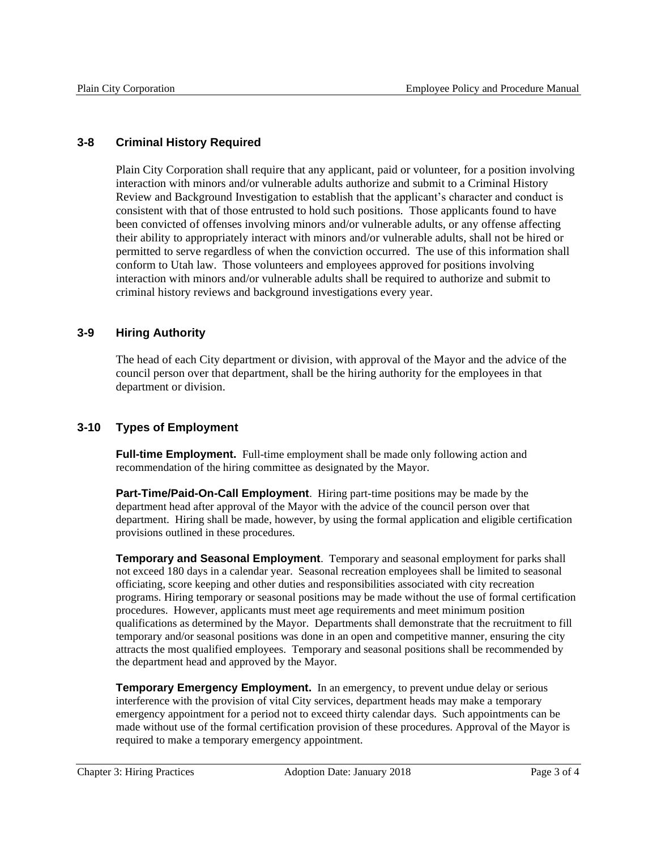## **3-8 Criminal History Required**

Plain City Corporation shall require that any applicant, paid or volunteer, for a position involving interaction with minors and/or vulnerable adults authorize and submit to a Criminal History Review and Background Investigation to establish that the applicant's character and conduct is consistent with that of those entrusted to hold such positions. Those applicants found to have been convicted of offenses involving minors and/or vulnerable adults, or any offense affecting their ability to appropriately interact with minors and/or vulnerable adults, shall not be hired or permitted to serve regardless of when the conviction occurred. The use of this information shall conform to Utah law. Those volunteers and employees approved for positions involving interaction with minors and/or vulnerable adults shall be required to authorize and submit to criminal history reviews and background investigations every year.

# **3-9 Hiring Authority**

The head of each City department or division, with approval of the Mayor and the advice of the council person over that department, shall be the hiring authority for the employees in that department or division.

# **3-10 Types of Employment**

**Full-time Employment.** Full-time employment shall be made only following action and recommendation of the hiring committee as designated by the Mayor.

**Part-Time/Paid-On-Call Employment**. Hiring part-time positions may be made by the department head after approval of the Mayor with the advice of the council person over that department. Hiring shall be made, however, by using the formal application and eligible certification provisions outlined in these procedures.

**Temporary and Seasonal Employment**. Temporary and seasonal employment for parks shall not exceed 180 days in a calendar year. Seasonal recreation employees shall be limited to seasonal officiating, score keeping and other duties and responsibilities associated with city recreation programs. Hiring temporary or seasonal positions may be made without the use of formal certification procedures. However, applicants must meet age requirements and meet minimum position qualifications as determined by the Mayor. Departments shall demonstrate that the recruitment to fill temporary and/or seasonal positions was done in an open and competitive manner, ensuring the city attracts the most qualified employees. Temporary and seasonal positions shall be recommended by the department head and approved by the Mayor.

**Temporary Emergency Employment.** In an emergency, to prevent undue delay or serious interference with the provision of vital City services, department heads may make a temporary emergency appointment for a period not to exceed thirty calendar days. Such appointments can be made without use of the formal certification provision of these procedures. Approval of the Mayor is required to make a temporary emergency appointment.